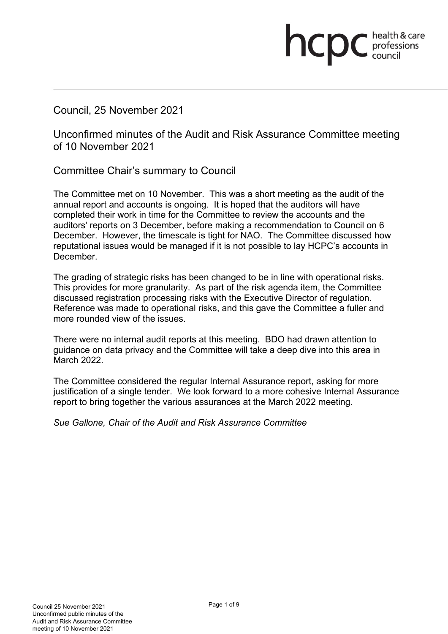Council, 25 November 2021

Unconfirmed minutes of the Audit and Risk Assurance Committee meeting of 10 November 2021

health & care

**health & card**<br>council

Committee Chair's summary to Council

The Committee met on 10 November. This was a short meeting as the audit of the annual report and accounts is ongoing. It is hoped that the auditors will have completed their work in time for the Committee to review the accounts and the auditors' reports on 3 December, before making a recommendation to Council on 6 December. However, the timescale is tight for NAO. The Committee discussed how reputational issues would be managed if it is not possible to lay HCPC's accounts in December.

The grading of strategic risks has been changed to be in line with operational risks. This provides for more granularity. As part of the risk agenda item, the Committee discussed registration processing risks with the Executive Director of regulation. Reference was made to operational risks, and this gave the Committee a fuller and more rounded view of the issues.

There were no internal audit reports at this meeting. BDO had drawn attention to guidance on data privacy and the Committee will take a deep dive into this area in March 2022.

The Committee considered the regular Internal Assurance report, asking for more justification of a single tender. We look forward to a more cohesive Internal Assurance report to bring together the various assurances at the March 2022 meeting.

*Sue Gallone, Chair of the Audit and Risk Assurance Committee*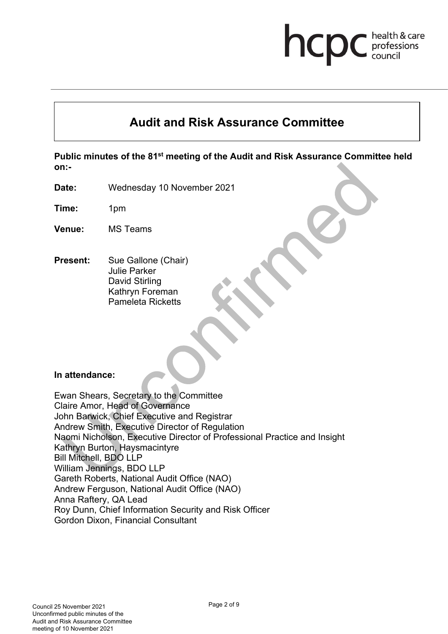## health & care hcp professions<br>council

# **Audit and Risk Assurance Committee**

**Public minutes of the 81st meeting of the Audit and Risk Assurance Committee held on:-** 

**Date:** Wednesday 10 November 2021

**Time:** 1pm

- **Venue:** MS Teams
- **Present:** Sue Gallone (Chair) Julie Parker David Stirling Kathryn Foreman Pameleta Ricketts

#### **In attendance:**

Ewan Shears, Secretary to the Committee Claire Amor, Head of Governance John Barwick, Chief Executive and Registrar Andrew Smith, Executive Director of Regulation Naomi Nicholson, Executive Director of Professional Practice and Insight Kathryn Burton, Haysmacintyre Bill Mitchell, BDO LLP William Jennings, BDO LLP Gareth Roberts, National Audit Office (NAO) Andrew Ferguson, National Audit Office (NAO) Anna Raftery, QA Lead Roy Dunn, Chief Information Security and Risk Officer Gordon Dixon, Financial Consultant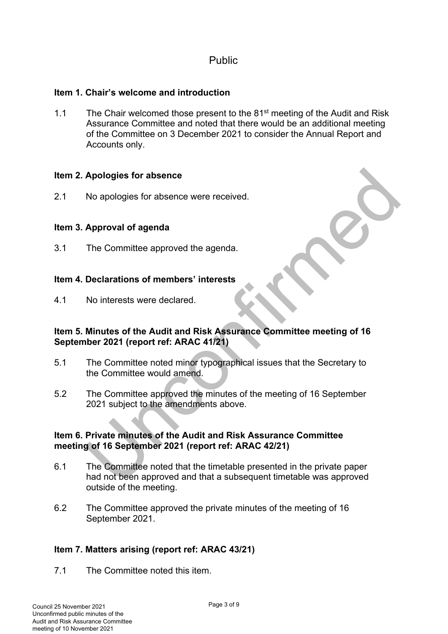## Public

## **Item 1. Chair's welcome and introduction**

1.1 The Chair welcomed those present to the 81<sup>st</sup> meeting of the Audit and Risk Assurance Committee and noted that there would be an additional meeting of the Committee on 3 December 2021 to consider the Annual Report and Accounts only.

## **Item 2. Apologies for absence**

2.1 No apologies for absence were received.

## **Item 3. Approval of agenda**

3.1 The Committee approved the agenda.

#### **Item 4. Declarations of members' interests**

4.1 No interests were declared.

#### **Item 5. Minutes of the Audit and Risk Assurance Committee meeting of 16 September 2021 (report ref: ARAC 41/21)**

- 5.1 The Committee noted minor typographical issues that the Secretary to the Committee would amend.
- 5.2 The Committee approved the minutes of the meeting of 16 September 2021 subject to the amendments above.

#### **Item 6. Private minutes of the Audit and Risk Assurance Committee meeting of 16 September 2021 (report ref: ARAC 42/21)**

- 6.1 The Committee noted that the timetable presented in the private paper had not been approved and that a subsequent timetable was approved outside of the meeting.
- 6.2 The Committee approved the private minutes of the meeting of 16 September 2021.

## **Item 7. Matters arising (report ref: ARAC 43/21)**

7.1 The Committee noted this item.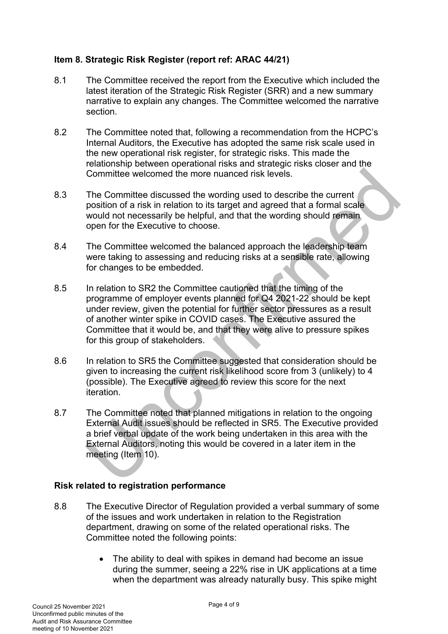## **Item 8. Strategic Risk Register (report ref: ARAC 44/21)**

- 8.1 The Committee received the report from the Executive which included the latest iteration of the Strategic Risk Register (SRR) and a new summary narrative to explain any changes. The Committee welcomed the narrative section.
- 8.2 The Committee noted that, following a recommendation from the HCPC's Internal Auditors, the Executive has adopted the same risk scale used in the new operational risk register, for strategic risks. This made the relationship between operational risks and strategic risks closer and the Committee welcomed the more nuanced risk levels.
- 8.3 The Committee discussed the wording used to describe the current position of a risk in relation to its target and agreed that a formal scale would not necessarily be helpful, and that the wording should remain open for the Executive to choose.
- 8.4 The Committee welcomed the balanced approach the leadership team were taking to assessing and reducing risks at a sensible rate, allowing for changes to be embedded.
- 8.5 In relation to SR2 the Committee cautioned that the timing of the programme of employer events planned for Q4 2021-22 should be kept under review, given the potential for further sector pressures as a result of another winter spike in COVID cases. The Executive assured the Committee that it would be, and that they were alive to pressure spikes for this group of stakeholders.
- 8.6 In relation to SR5 the Committee suggested that consideration should be given to increasing the current risk likelihood score from 3 (unlikely) to 4 (possible). The Executive agreed to review this score for the next iteration.
- 8.7 The Committee noted that planned mitigations in relation to the ongoing External Audit issues should be reflected in SR5. The Executive provided a brief verbal update of the work being undertaken in this area with the External Auditors, noting this would be covered in a later item in the meeting (Item 10).

## **Risk related to registration performance**

- 8.8 The Executive Director of Regulation provided a verbal summary of some of the issues and work undertaken in relation to the Registration department, drawing on some of the related operational risks. The Committee noted the following points:
	- The ability to deal with spikes in demand had become an issue during the summer, seeing a 22% rise in UK applications at a time when the department was already naturally busy. This spike might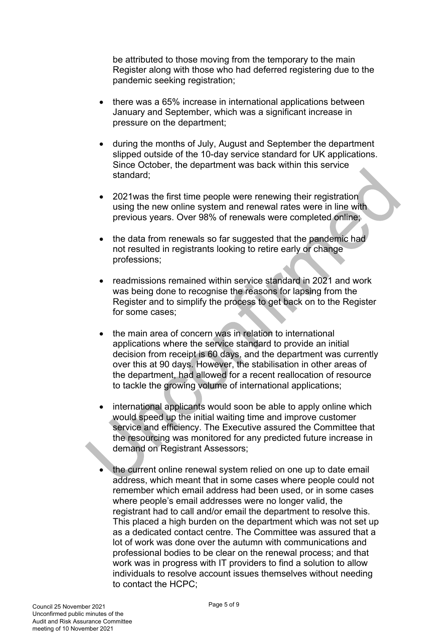be attributed to those moving from the temporary to the main Register along with those who had deferred registering due to the pandemic seeking registration;

- there was a 65% increase in international applications between January and September, which was a significant increase in pressure on the department;
- during the months of July, August and September the department slipped outside of the 10-day service standard for UK applications. Since October, the department was back within this service standard;
- 2021was the first time people were renewing their registration using the new online system and renewal rates were in line with previous years. Over 98% of renewals were completed online;
- the data from renewals so far suggested that the pandemic had not resulted in registrants looking to retire early or change professions;
- readmissions remained within service standard in 2021 and work was being done to recognise the reasons for lapsing from the Register and to simplify the process to get back on to the Register for some cases;
- the main area of concern was in relation to international applications where the service standard to provide an initial decision from receipt is 60 days, and the department was currently over this at 90 days. However, the stabilisation in other areas of the department, had allowed for a recent reallocation of resource to tackle the growing volume of international applications;
- international applicants would soon be able to apply online which would speed up the initial waiting time and improve customer service and efficiency. The Executive assured the Committee that the resourcing was monitored for any predicted future increase in demand on Registrant Assessors;
- the current online renewal system relied on one up to date email address, which meant that in some cases where people could not remember which email address had been used, or in some cases where people's email addresses were no longer valid, the registrant had to call and/or email the department to resolve this. This placed a high burden on the department which was not set up as a dedicated contact centre. The Committee was assured that a lot of work was done over the autumn with communications and professional bodies to be clear on the renewal process; and that work was in progress with IT providers to find a solution to allow individuals to resolve account issues themselves without needing to contact the HCPC;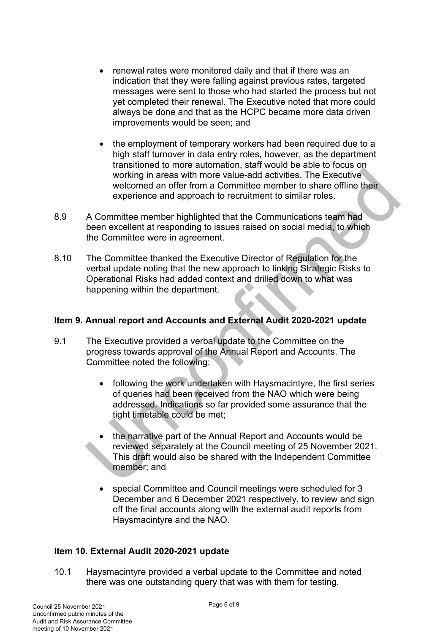- renewal rates were monitored daily and that if there was an indication that they were falling against previous rates, targeted messages were sent to those who had started the process but not yet completed their renewal. The Executive noted that more could always be done and that as the HCPC became more data driven improvements would be seen; and
- the employment of temporary workers had been required due to a high staff turnover in data entry roles, however, as the department transitioned to more automation, staff would be able to focus on working in areas with more value-add activities. The Executive welcomed an offer from a Committee member to share offline their experience and approach to recruitment to similar roles.
- 8.9 A Committee member highlighted that the Communications team had been excellent at responding to issues raised on social media, to which the Committee were in agreement.
- 8.10 The Committee thanked the Executive Director of Regulation for the verbal update noting that the new approach to linking Strategic Risks to Operational Risks had added context and drilled down to what was happening within the department.

#### **Item 9. Annual report and Accounts and External Audit 2020-2021 update**

- 9.1 The Executive provided a verbal update to the Committee on the progress towards approval of the Annual Report and Accounts. The Committee noted the following:
	- following the work undertaken with Haysmacintyre, the first series of queries had been received from the NAO which were being addressed. Indications so far provided some assurance that the tight timetable could be met;
	- the narrative part of the Annual Report and Accounts would be reviewed separately at the Council meeting of 25 November 2021. This draft would also be shared with the Independent Committee member; and
	- special Committee and Council meetings were scheduled for 3 December and 6 December 2021 respectively, to review and sign off the final accounts along with the external audit reports from Haysmacintyre and the NAO.

## **Item 10. External Audit 2020-2021 update**

10.1 Haysmacintyre provided a verbal update to the Committee and noted there was one outstanding query that was with them for testing.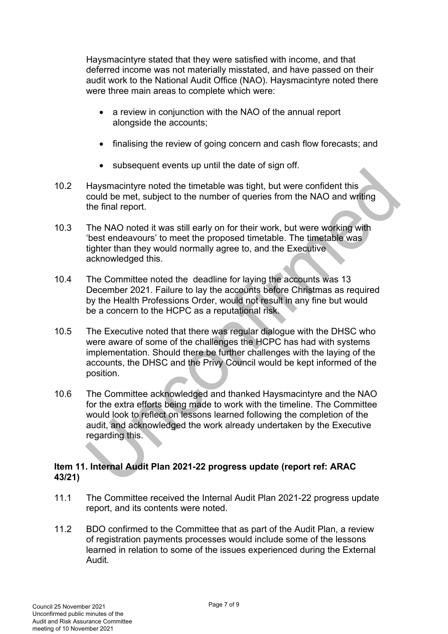Haysmacintyre stated that they were satisfied with income, and that deferred income was not materially misstated, and have passed on their audit work to the National Audit Office (NAO). Haysmacintyre noted there were three main areas to complete which were:

- a review in conjunction with the NAO of the annual report alongside the accounts;
- finalising the review of going concern and cash flow forecasts; and
- subsequent events up until the date of sign off.
- 10.2 Haysmacintyre noted the timetable was tight, but were confident this could be met, subject to the number of queries from the NAO and writing the final report.
- 10.3 The NAO noted it was still early on for their work, but were working with 'best endeavours' to meet the proposed timetable. The timetable was tighter than they would normally agree to, and the Executive acknowledged this.
- 10.4 The Committee noted the deadline for laying the accounts was 13 December 2021. Failure to lay the accounts before Christmas as required by the Health Professions Order, would not result in any fine but would be a concern to the HCPC as a reputational risk.
- 10.5 The Executive noted that there was regular dialogue with the DHSC who were aware of some of the challenges the HCPC has had with systems implementation. Should there be further challenges with the laying of the accounts, the DHSC and the Privy Council would be kept informed of the position.
- 10.6 The Committee acknowledged and thanked Haysmacintyre and the NAO for the extra efforts being made to work with the timeline. The Committee would look to reflect on lessons learned following the completion of the audit, and acknowledged the work already undertaken by the Executive regarding this.

## **Item 11. Internal Audit Plan 2021-22 progress update (report ref: ARAC 43/21)**

- 11.1 The Committee received the Internal Audit Plan 2021-22 progress update report, and its contents were noted.
- 11.2 BDO confirmed to the Committee that as part of the Audit Plan, a review of registration payments processes would include some of the lessons learned in relation to some of the issues experienced during the External Audit.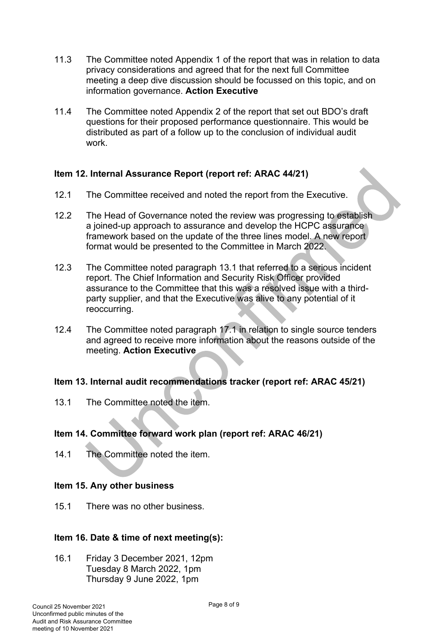- 11.3 The Committee noted Appendix 1 of the report that was in relation to data privacy considerations and agreed that for the next full Committee meeting a deep dive discussion should be focussed on this topic, and on information governance. **Action Executive**
- 11.4 The Committee noted Appendix 2 of the report that set out BDO's draft questions for their proposed performance questionnaire. This would be distributed as part of a follow up to the conclusion of individual audit work.

## **Item 12. Internal Assurance Report (report ref: ARAC 44/21)**

- 12.1 The Committee received and noted the report from the Executive.
- 12.2 The Head of Governance noted the review was progressing to establish a joined-up approach to assurance and develop the HCPC assurance framework based on the update of the three lines model. A new report format would be presented to the Committee in March 2022.
- 12.3 The Committee noted paragraph 13.1 that referred to a serious incident report. The Chief Information and Security Risk Officer provided assurance to the Committee that this was a resolved issue with a thirdparty supplier, and that the Executive was alive to any potential of it reoccurring.
- 12.4 The Committee noted paragraph 17.1 in relation to single source tenders and agreed to receive more information about the reasons outside of the meeting. **Action Executive**

#### **Item 13. Internal audit recommendations tracker (report ref: ARAC 45/21)**

13.1 The Committee noted the item.

## **Item 14. Committee forward work plan (report ref: ARAC 46/21)**

14.1 The Committee noted the item.

#### **Item 15. Any other business**

15.1 There was no other business.

#### **Item 16. Date & time of next meeting(s):**

16.1 Friday 3 December 2021, 12pm Tuesday 8 March 2022, 1pm Thursday 9 June 2022, 1pm